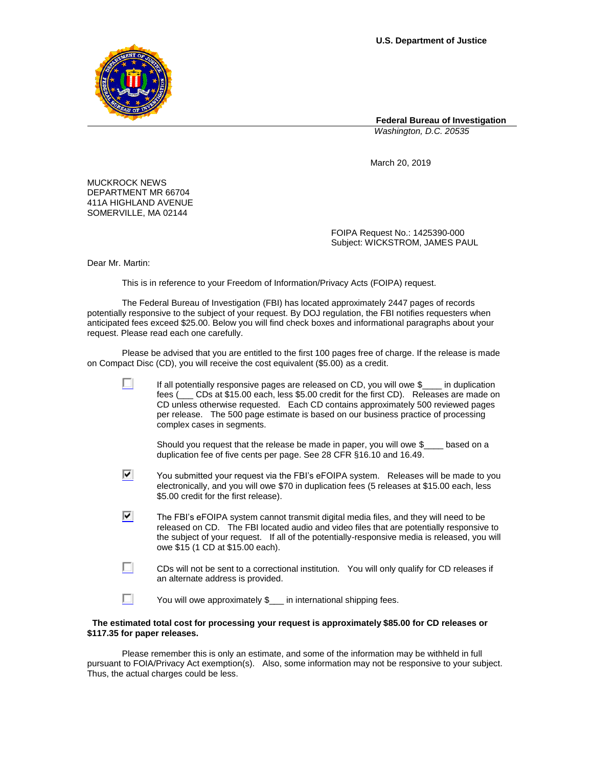

**Federal Bureau of Investigation**

*Washington, D.C. 20535*

March 20, 2019

MUCKROCK NEWS DEPARTMENT MR 66704 411A HIGHLAND AVENUE SOMERVILLE, MA 02144

> FOIPA Request No.: 1425390-000 Subject: WICKSTROM, JAMES PAUL

Dear Mr. Martin:

This is in reference to your Freedom of Information/Privacy Acts (FOIPA) request.

The Federal Bureau of Investigation (FBI) has located approximately 2447 pages of records potentially responsive to the subject of your request. By DOJ regulation, the FBI notifies requesters when anticipated fees exceed \$25.00. Below you will find check boxes and informational paragraphs about your request. Please read each one carefully.

Please be advised that you are entitled to the first 100 pages free of charge. If the release is made on Compact Disc (CD), you will receive the cost equivalent (\$5.00) as a credit.

|    | If all potentially responsive pages are released on CD, you will owe \$<br>fees ( <sub>comp</sub> CDs at \$15.00 each, less \$5.00 credit for the first CD). Releases are made on<br>CD unless otherwise requested. Each CD contains approximately 500 reviewed pages<br>per release. The 500 page estimate is based on our business practice of processing<br>complex cases in segments. |
|----|-------------------------------------------------------------------------------------------------------------------------------------------------------------------------------------------------------------------------------------------------------------------------------------------------------------------------------------------------------------------------------------------|
|    | Should you request that the release be made in paper, you will owe \$<br>based on a<br>duplication fee of five cents per page. See 28 CFR §16.10 and 16.49.                                                                                                                                                                                                                               |
| v. | You submitted your request via the FBI's eFOIPA system. Releases will be made to you<br>electronically, and you will owe \$70 in duplication fees (5 releases at \$15.00 each, less<br>\$5.00 credit for the first release).                                                                                                                                                              |
| է  | The FBI's eFOIPA system cannot transmit digital media files, and they will need to be<br>released on CD. The FBI located audio and video files that are potentially responsive to<br>the subject of your request. If all of the potentially-responsive media is released, you will<br>owe \$15 (1 CD at \$15.00 each).                                                                    |
|    | CDs will not be sent to a correctional institution. You will only qualify for CD releases if<br>an alternate address is provided.                                                                                                                                                                                                                                                         |
|    | You will owe approximately \$<br>in international shipping fees.                                                                                                                                                                                                                                                                                                                          |

## **The estimated total cost for processing your request is approximately \$85.00 for CD releases or \$117.35 for paper releases.**

Please remember this is only an estimate, and some of the information may be withheld in full pursuant to FOIA/Privacy Act exemption(s). Also, some information may not be responsive to your subject. Thus, the actual charges could be less.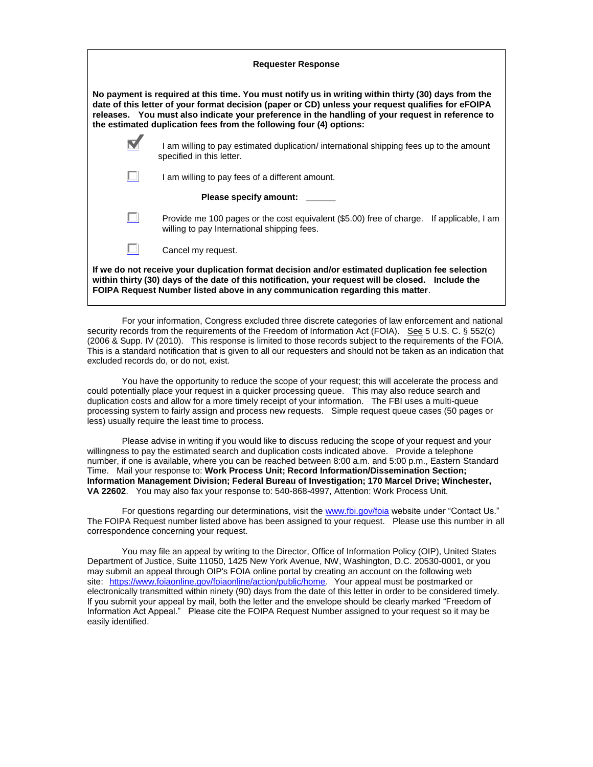| <b>Requester Response</b>                                                                                                                                                                                                                                                                                                                                                            |                                                                                                                                         |  |  |
|--------------------------------------------------------------------------------------------------------------------------------------------------------------------------------------------------------------------------------------------------------------------------------------------------------------------------------------------------------------------------------------|-----------------------------------------------------------------------------------------------------------------------------------------|--|--|
| No payment is required at this time. You must notify us in writing within thirty (30) days from the<br>date of this letter of your format decision (paper or CD) unless your request qualifies for eFOIPA<br>releases. You must also indicate your preference in the handling of your request in reference to<br>the estimated duplication fees from the following four (4) options: |                                                                                                                                         |  |  |
|                                                                                                                                                                                                                                                                                                                                                                                      | I am willing to pay estimated duplication/ international shipping fees up to the amount<br>specified in this letter.                    |  |  |
|                                                                                                                                                                                                                                                                                                                                                                                      | I am willing to pay fees of a different amount.                                                                                         |  |  |
|                                                                                                                                                                                                                                                                                                                                                                                      | Please specify amount: _____                                                                                                            |  |  |
|                                                                                                                                                                                                                                                                                                                                                                                      | Provide me 100 pages or the cost equivalent (\$5.00) free of charge. If applicable, I am<br>willing to pay International shipping fees. |  |  |
|                                                                                                                                                                                                                                                                                                                                                                                      | Cancel my request.                                                                                                                      |  |  |
| If we do not receive your duplication format decision and/or estimated duplication fee selection<br>within thirty (30) days of the date of this notification, your request will be closed. Include the<br>FOIPA Request Number listed above in any communication regarding this matter.                                                                                              |                                                                                                                                         |  |  |

For your information, Congress excluded three discrete categories of law enforcement and national security records from the requirements of the Freedom of Information Act (FOIA). See 5 U.S. C. § 552(c) (2006 & Supp. IV (2010). This response is limited to those records subject to the requirements of the FOIA. This is a standard notification that is given to all our requesters and should not be taken as an indication that excluded records do, or do not, exist.

You have the opportunity to reduce the scope of your request; this will accelerate the process and could potentially place your request in a quicker processing queue. This may also reduce search and duplication costs and allow for a more timely receipt of your information. The FBI uses a multi-queue processing system to fairly assign and process new requests. Simple request queue cases (50 pages or less) usually require the least time to process.

Please advise in writing if you would like to discuss reducing the scope of your request and your willingness to pay the estimated search and duplication costs indicated above. Provide a telephone number, if one is available, where you can be reached between 8:00 a.m. and 5:00 p.m., Eastern Standard Time. Mail your response to: **Work Process Unit; Record Information/Dissemination Section; Information Management Division; Federal Bureau of Investigation; 170 Marcel Drive; Winchester, VA 22602**. You may also fax your response to: 540-868-4997, Attention: Work Process Unit.

For questions regarding our determinations, visit the [www.fbi.gov/foia](http://www.fbi.gov/foia) website under "Contact Us." The FOIPA Request number listed above has been assigned to your request. Please use this number in all correspondence concerning your request.

You may file an appeal by writing to the Director, Office of Information Policy (OIP), United States Department of Justice, Suite 11050, 1425 New York Avenue, NW, Washington, D.C. 20530-0001, or you may submit an appeal through OIP's FOIA online portal by creating an account on the following web site: [https://www.foiaonline.gov/foiaonline/action/public/home.](https://foiaonline.gov/foiaonline/action/public/home) Your appeal must be postmarked or electronically transmitted within ninety (90) days from the date of this letter in order to be considered timely. If you submit your appeal by mail, both the letter and the envelope should be clearly marked "Freedom of Information Act Appeal." Please cite the FOIPA Request Number assigned to your request so it may be easily identified.